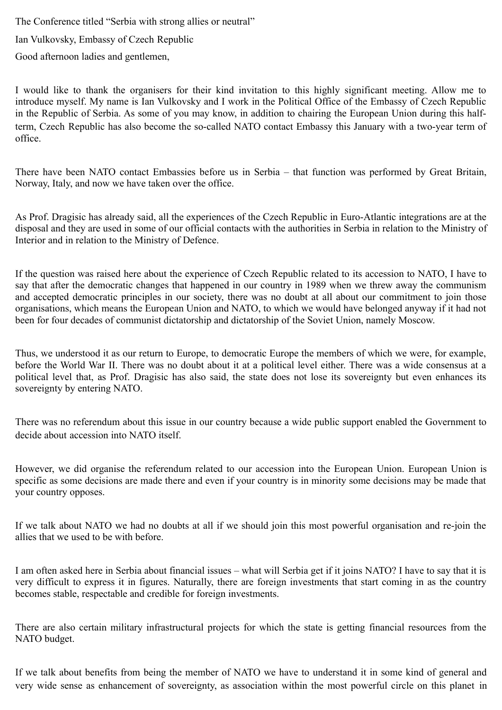The Conference titled "Serbia with strong allies or neutral"

Ian Vulkovsky, Embassy of Czech Republic

Good afternoon ladies and gentlemen,

I would like to thank the organisers for their kind invitation to this highly significant meeting. Allow me to introduce myself. My name is Ian Vulkovsky and I work in the Political Office of the Embassy of Czech Republic in the Republic of Serbia. As some of you may know, in addition to chairing the European Union during this halfterm, Czech Republic has also become the so-called NATO contact Embassy this January with a two-year term of office.

There have been NATO contact Embassies before us in Serbia – that function was performed by Great Britain, Norway, Italy, and now we have taken over the office.

As Prof. Dragisic has already said, all the experiences of the Czech Republic in Euro-Atlantic integrations are at the disposal and they are used in some of our official contacts with the authorities in Serbia in relation to the Ministry of Interior and in relation to the Ministry of Defence.

If the question was raised here about the experience of Czech Republic related to its accession to NATO, I have to say that after the democratic changes that happened in our country in 1989 when we threw away the communism and accepted democratic principles in our society, there was no doubt at all about our commitment to join those organisations, which means the European Union and NATO, to which we would have belonged anyway if it had not been for four decades of communist dictatorship and dictatorship of the Soviet Union, namely Moscow.

Thus, we understood it as our return to Europe, to democratic Europe the members of which we were, for example, before the World War II. There was no doubt about it at a political level either. There was a wide consensus at a political level that, as Prof. Dragisic has also said, the state does not lose its sovereignty but even enhances its sovereignty by entering NATO.

There was no referendum about this issue in our country because a wide public support enabled the Government to decide about accession into NATO itself.

However, we did organise the referendum related to our accession into the European Union. European Union is specific as some decisions are made there and even if your country is in minority some decisions may be made that your country opposes.

If we talk about NATO we had no doubts at all if we should join this most powerful organisation and re-join the allies that we used to be with before.

I am often asked here in Serbia about financial issues – what will Serbia get if it joins NATO? I have to say that it is very difficult to express it in figures. Naturally, there are foreign investments that start coming in as the country becomes stable, respectable and credible for foreign investments.

There are also certain military infrastructural projects for which the state is getting financial resources from the NATO budget.

If we talk about benefits from being the member of NATO we have to understand it in some kind of general and very wide sense as enhancement of sovereignty, as association within the most powerful circle on this planet in